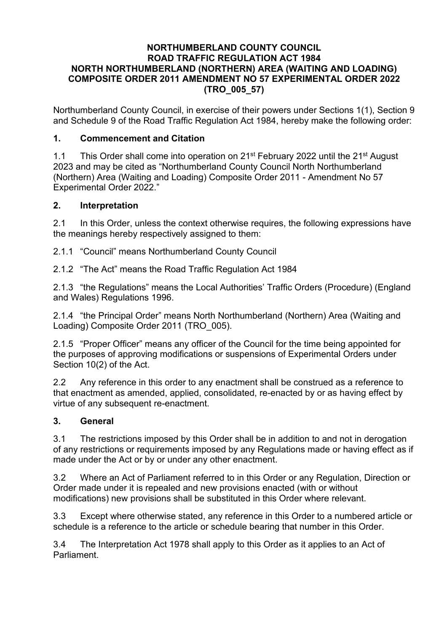### **NORTHUMBERLAND COUNTY COUNCIL ROAD TRAFFIC REGULATION ACT 1984 NORTH NORTHUMBERLAND (NORTHERN) AREA (WAITING AND LOADING) COMPOSITE ORDER 2011 AMENDMENT NO 57 EXPERIMENTAL ORDER 2022 (TRO\_005\_57)**

Northumberland County Council, in exercise of their powers under Sections 1(1), Section 9 and Schedule 9 of the Road Traffic Regulation Act 1984, hereby make the following order:

## **1. Commencement and Citation**

1.1 This Order shall come into operation on 21<sup>st</sup> February 2022 until the 21<sup>st</sup> August 2023 and may be cited as "Northumberland County Council North Northumberland (Northern) Area (Waiting and Loading) Composite Order 2011 - Amendment No 57 Experimental Order 2022."

### **2. Interpretation**

2.1 In this Order, unless the context otherwise requires, the following expressions have the meanings hereby respectively assigned to them:

2.1.1 "Council" means Northumberland County Council

2.1.2 "The Act" means the Road Traffic Regulation Act 1984

2.1.3 "the Regulations" means the Local Authorities' Traffic Orders (Procedure) (England and Wales) Regulations 1996.

2.1.4 "the Principal Order" means North Northumberland (Northern) Area (Waiting and Loading) Composite Order 2011 (TRO\_005).

2.1.5 "Proper Officer" means any officer of the Council for the time being appointed for the purposes of approving modifications or suspensions of Experimental Orders under Section 10(2) of the Act.

2.2 Any reference in this order to any enactment shall be construed as a reference to that enactment as amended, applied, consolidated, re-enacted by or as having effect by virtue of any subsequent re-enactment.

# **3. General**

3.1 The restrictions imposed by this Order shall be in addition to and not in derogation of any restrictions or requirements imposed by any Regulations made or having effect as if made under the Act or by or under any other enactment.

3.2 Where an Act of Parliament referred to in this Order or any Regulation, Direction or Order made under it is repealed and new provisions enacted (with or without modifications) new provisions shall be substituted in this Order where relevant.

3.3 Except where otherwise stated, any reference in this Order to a numbered article or schedule is a reference to the article or schedule bearing that number in this Order.

3.4 The Interpretation Act 1978 shall apply to this Order as it applies to an Act of Parliament.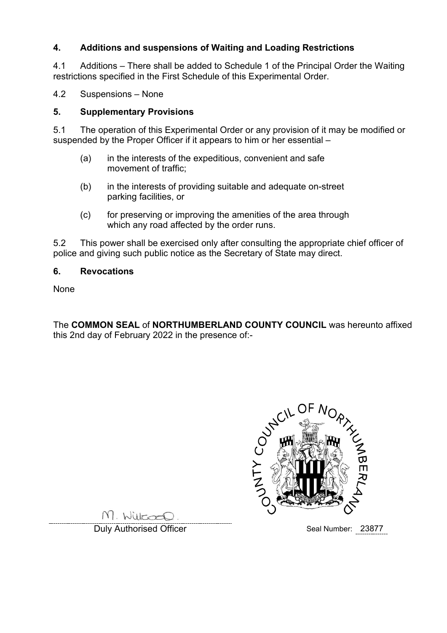# **4. Additions and suspensions of Waiting and Loading Restrictions**

4.1 Additions – There shall be added to Schedule 1 of the Principal Order the Waiting restrictions specified in the First Schedule of this Experimental Order.

4.2 Suspensions – None

### **5. Supplementary Provisions**

5.1 The operation of this Experimental Order or any provision of it may be modified or suspended by the Proper Officer if it appears to him or her essential –

- (a) in the interests of the expeditious, convenient and safe movement of traffic;
- (b) in the interests of providing suitable and adequate on-street parking facilities, or
- (c) for preserving or improving the amenities of the area through which any road affected by the order runs.

5.2 This power shall be exercised only after consulting the appropriate chief officer of police and giving such public notice as the Secretary of State may direct.

### **6. Revocations**

None

The **COMMON SEAL** of **NORTHUMBERLAND COUNTY COUNCIL** was hereunto affixed this 2nd day of February 2022 in the presence of:-



M. Willcoco.

Duly Authorised Officer National Seal Number: 23877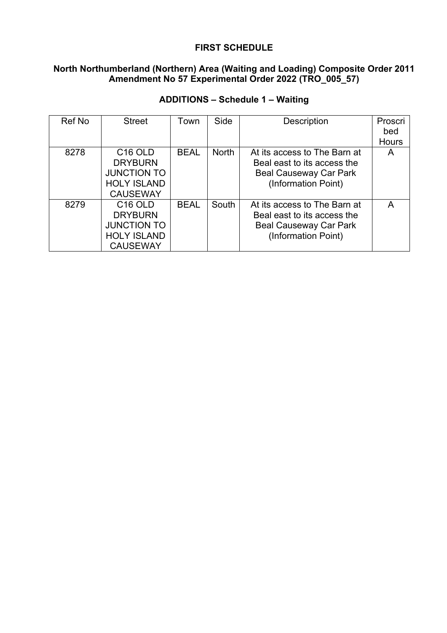## **FIRST SCHEDULE**

# **North Northumberland (Northern) Area (Waiting and Loading) Composite Order 2011 Amendment No 57 Experimental Order 2022 (TRO\_005\_57)**

| Ref No | <b>Street</b>                                                                                        | Town        | Side         | <b>Description</b>                                                                                                  | Proscri      |
|--------|------------------------------------------------------------------------------------------------------|-------------|--------------|---------------------------------------------------------------------------------------------------------------------|--------------|
|        |                                                                                                      |             |              |                                                                                                                     | bed          |
|        |                                                                                                      |             |              |                                                                                                                     | <b>Hours</b> |
| 8278   | C <sub>16</sub> OLD<br><b>DRYBURN</b>                                                                | <b>BEAL</b> | <b>North</b> | At its access to The Barn at<br>Beal east to its access the                                                         | A            |
|        | <b>JUNCTION TO</b><br><b>HOLY ISLAND</b><br><b>CAUSEWAY</b>                                          |             |              | <b>Beal Causeway Car Park</b><br>(Information Point)                                                                |              |
| 8279   | C <sub>16</sub> OLD<br><b>DRYBURN</b><br><b>JUNCTION TO</b><br><b>HOLY ISLAND</b><br><b>CAUSEWAY</b> | <b>BEAL</b> | South        | At its access to The Barn at<br>Beal east to its access the<br><b>Beal Causeway Car Park</b><br>(Information Point) | А            |

# **ADDITIONS – Schedule 1 – Waiting**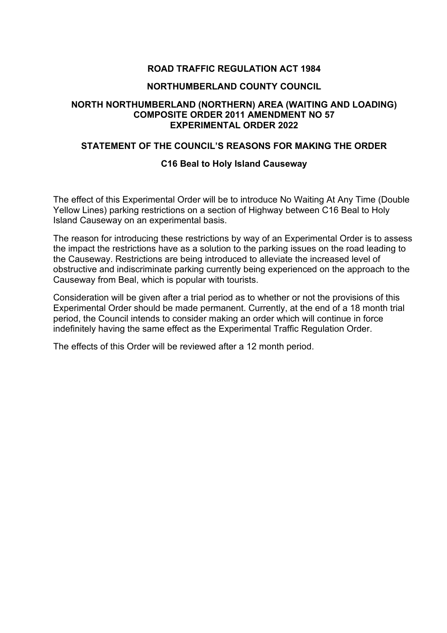## **ROAD TRAFFIC REGULATION ACT 1984**

#### **NORTHUMBERLAND COUNTY COUNCIL**

### **NORTH NORTHUMBERLAND (NORTHERN) AREA (WAITING AND LOADING) COMPOSITE ORDER 2011 AMENDMENT NO 57 EXPERIMENTAL ORDER 2022**

#### **STATEMENT OF THE COUNCIL'S REASONS FOR MAKING THE ORDER**

#### **C16 Beal to Holy Island Causeway**

The effect of this Experimental Order will be to introduce No Waiting At Any Time (Double Yellow Lines) parking restrictions on a section of Highway between C16 Beal to Holy Island Causeway on an experimental basis.

The reason for introducing these restrictions by way of an Experimental Order is to assess the impact the restrictions have as a solution to the parking issues on the road leading to the Causeway. Restrictions are being introduced to alleviate the increased level of obstructive and indiscriminate parking currently being experienced on the approach to the Causeway from Beal, which is popular with tourists.

Consideration will be given after a trial period as to whether or not the provisions of this Experimental Order should be made permanent. Currently, at the end of a 18 month trial period, the Council intends to consider making an order which will continue in force indefinitely having the same effect as the Experimental Traffic Regulation Order.

The effects of this Order will be reviewed after a 12 month period.